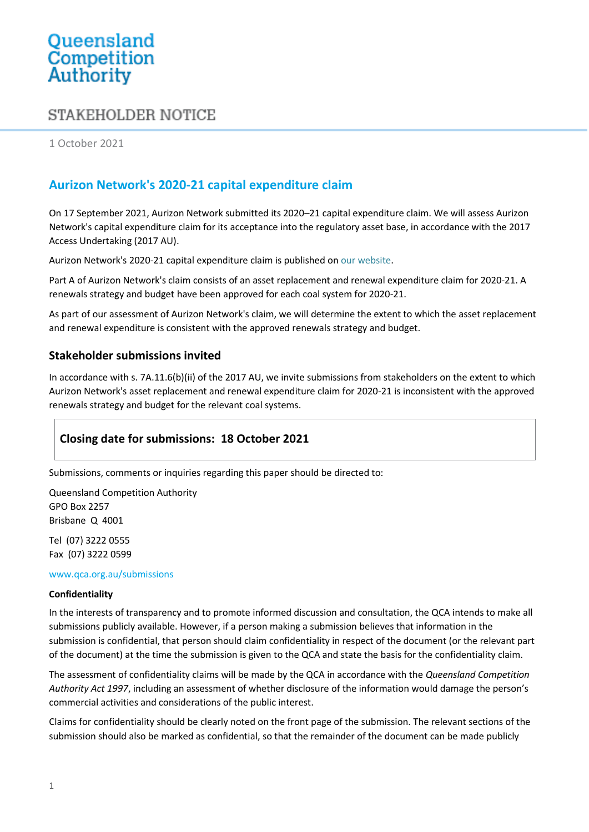# Queensland<br>Competition Authority

## STAKEHOLDER NOTICE

1 October 2021

## **Aurizon Network's 2020-21 capital expenditure claim**

On 17 September 2021, Aurizon Network submitted its 2020–21 capital expenditure claim. We will assess Aurizon Network's capital expenditure claim for its acceptance into the regulatory asset base, in accordance with the 2017 Access Undertaking (2017 AU).

Aurizon Network's 2020-21 capital expenditure claim is published o[n our website.](https://www.qca.org.au/project/aurizon-network/2017-access-undertaking-ut5/capital-expenditure-claim/)

Part A of Aurizon Network's claim consists of an asset replacement and renewal expenditure claim for 2020-21. A renewals strategy and budget have been approved for each coal system for 2020-21.

As part of our assessment of Aurizon Network's claim, we will determine the extent to which the asset replacement and renewal expenditure is consistent with the approved renewals strategy and budget.

#### **Stakeholder submissions invited**

In accordance with s. 7A.11.6(b)(ii) of the 2017 AU, we invite submissions from stakeholders on the extent to which Aurizon Network's asset replacement and renewal expenditure claim for 2020-21 is inconsistent with the approved renewals strategy and budget for the relevant coal systems.

### **Closing date for submissions: 18 October 2021**

Submissions, comments or inquiries regarding this paper should be directed to:

Queensland Competition Authority GPO Box 2257 Brisbane Q 4001

Tel (07) 3222 0555 Fax (07) 3222 0599

www.qca.org.au/submissions

#### **Confidentiality**

In the interests of transparency and to promote informed discussion and consultation, the QCA intends to make all submissions publicly available. However, if a person making a submission believes that information in the submission is confidential, that person should claim confidentiality in respect of the document (or the relevant part of the document) at the time the submission is given to the QCA and state the basis for the confidentiality claim.

The assessment of confidentiality claims will be made by the QCA in accordance with the *Queensland Competition Authority Act 1997*, including an assessment of whether disclosure of the information would damage the person's commercial activities and considerations of the public interest.

Claims for confidentiality should be clearly noted on the front page of the submission. The relevant sections of the submission should also be marked as confidential, so that the remainder of the document can be made publicly